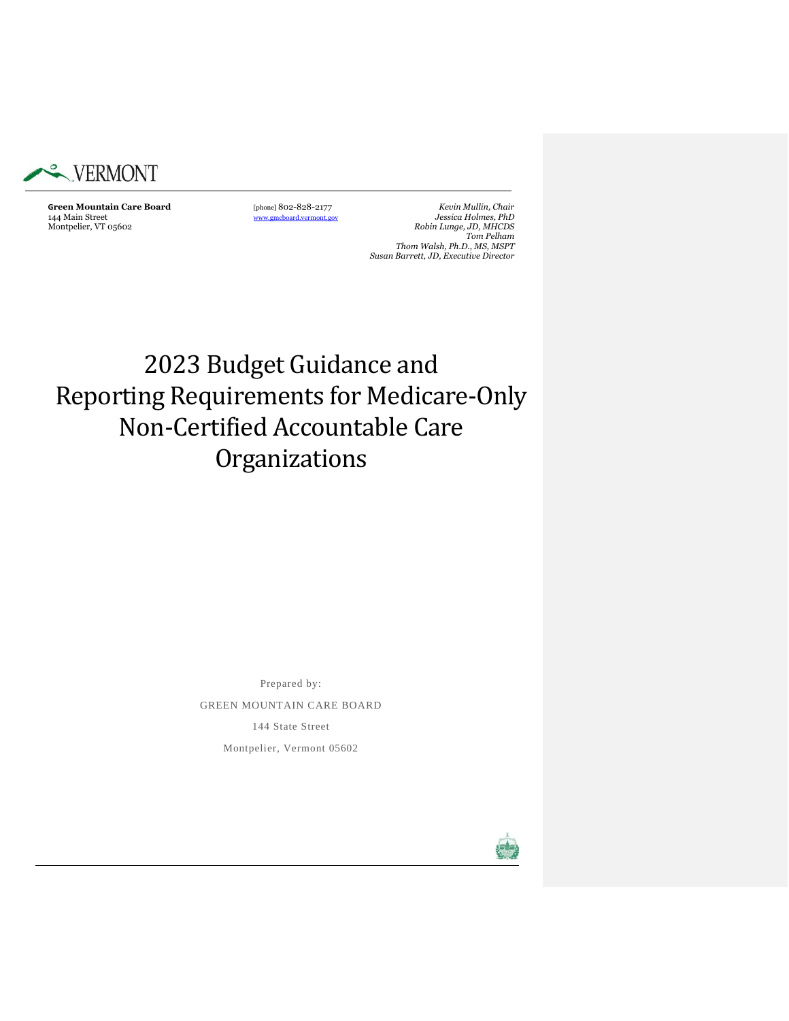

**Green Mountain Care Board** [phone] 802-828-2177 *Kevin Mullin, Chair* 144 Main Street [www.gmcboard.vermont.gov](http://www.gmcboard.vermont.gov/) *Jessica Holmes, PhD*  $Robin\ Lunge, JD, MHCDS$ *Tom Pelham Thom Walsh, Ph.D., MS, MSPT Susan Barrett, JD, Executive Director*

# 2023 Budget Guidance and Reporting Requirements for Medicare-Only Non-Certified Accountable Care Organizations

Prepared by: GREEN MOUNTAIN CARE BOARD 144 State Street Montpelier, Vermont 05602

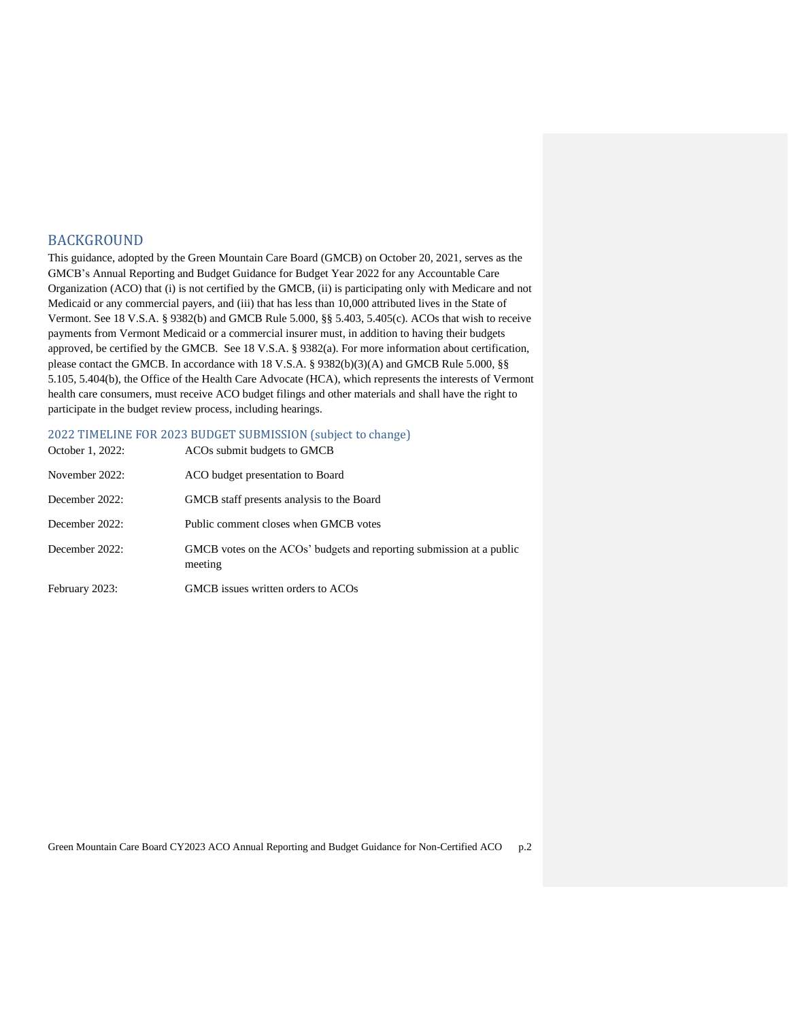# BACKGROUND

This guidance, adopted by the Green Mountain Care Board (GMCB) on October 20, 2021, serves as the GMCB's Annual Reporting and Budget Guidance for Budget Year 2022 for any Accountable Care Organization (ACO) that (i) is not certified by the GMCB, (ii) is participating only with Medicare and not Medicaid or any commercial payers, and (iii) that has less than 10,000 attributed lives in the State of Vermont. See 18 V.S.A. § 9382(b) and GMCB Rule 5.000, §§ 5.403, 5.405(c). ACOs that wish to receive payments from Vermont Medicaid or a commercial insurer must, in addition to having their budgets approved, be certified by the GMCB. See 18 V.S.A. § 9382(a). For more information about certification, please contact the GMCB. In accordance with 18 V.S.A. § 9382(b)(3)(A) and GMCB Rule 5.000, §§ 5.105, 5.404(b), the Office of the Health Care Advocate (HCA), which represents the interests of Vermont health care consumers, must receive ACO budget filings and other materials and shall have the right to participate in the budget review process, including hearings.

# 2022 TIMELINE FOR 2023 BUDGET SUBMISSION (subject to change)

| October 1, 2022: | ACO <sub>s</sub> submit budgets to GMCB                                         |
|------------------|---------------------------------------------------------------------------------|
| November 2022:   | ACO budget presentation to Board                                                |
| December 2022:   | GMCB staff presents analysis to the Board                                       |
| December 2022:   | Public comment closes when GMCB votes                                           |
| December 2022:   | GMCB votes on the ACOs' budgets and reporting submission at a public<br>meeting |
| February 2023:   | GMCB issues written orders to ACOs                                              |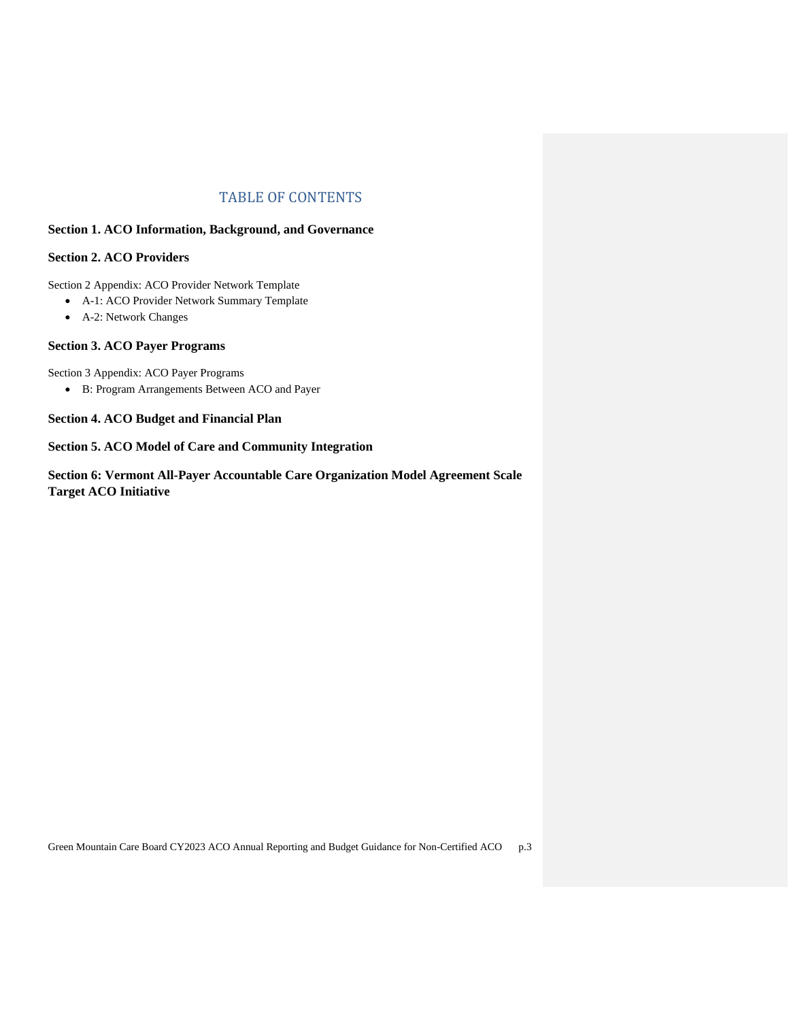# TABLE OF CONTENTS

# **Section 1. ACO Information, Background, and Governance**

# **Section 2. ACO Providers**

Section 2 Appendix: ACO Provider Network Template

- A-1: ACO Provider Network Summary Template
- A-2: Network Changes

# **Section 3. ACO Payer Programs**

Section 3 Appendix: ACO Payer Programs

• B: Program Arrangements Between ACO and Payer

# **Section 4. ACO Budget and Financial Plan**

# **Section 5. ACO Model of Care and Community Integration**

**Section 6: Vermont All-Payer Accountable Care Organization Model Agreement Scale Target ACO Initiative**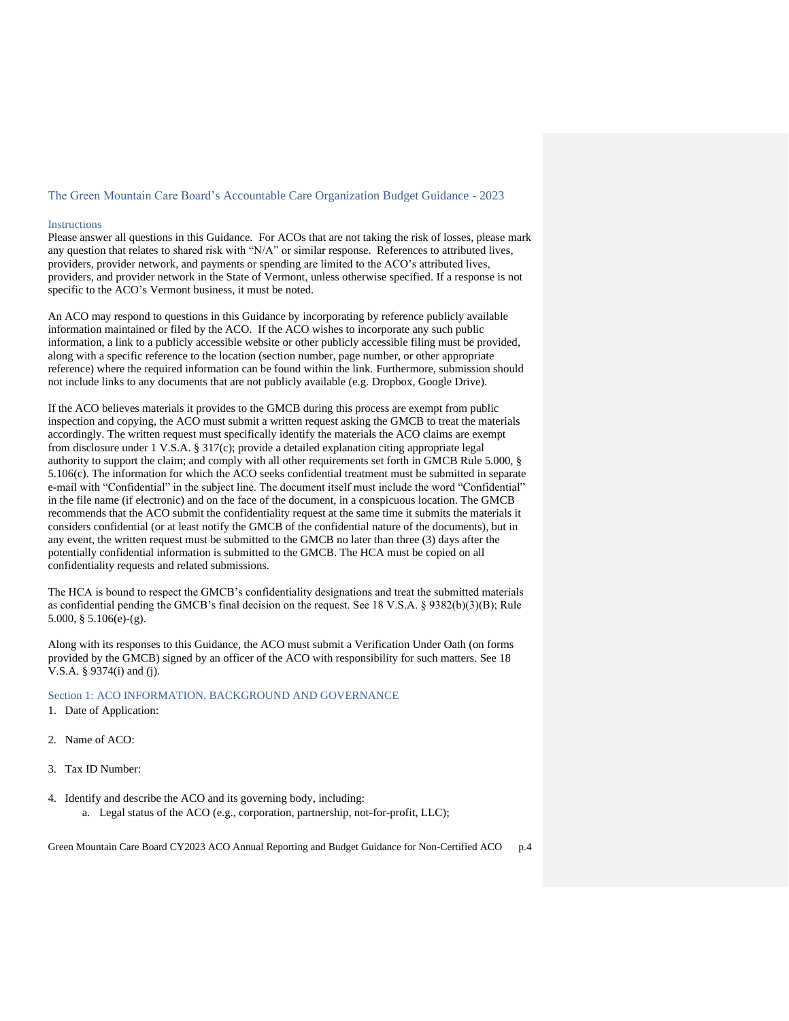#### The Green Mountain Care Board's Accountable Care Organization Budget Guidance - 2023

#### **Instructions**

Please answer all questions in this Guidance. For ACOs that are not taking the risk of losses, please mark any question that relates to shared risk with "N/A" or similar response. References to attributed lives, providers, provider network, and payments or spending are limited to the ACO's attributed lives, providers, and provider network in the State of Vermont, unless otherwise specified. If a response is not specific to the ACO's Vermont business, it must be noted.

An ACO may respond to questions in this Guidance by incorporating by reference publicly available information maintained or filed by the ACO. If the ACO wishes to incorporate any such public information, a link to a publicly accessible website or other publicly accessible filing must be provided, along with a specific reference to the location (section number, page number, or other appropriate reference) where the required information can be found within the link. Furthermore, submission should not include links to any documents that are not publicly available (e.g. Dropbox, Google Drive).

If the ACO believes materials it provides to the GMCB during this process are exempt from public inspection and copying, the ACO must submit a written request asking the GMCB to treat the materials accordingly. The written request must specifically identify the materials the ACO claims are exempt from disclosure under 1 V.S.A. § 317(c); provide a detailed explanation citing appropriate legal authority to support the claim; and comply with all other requirements set forth in GMCB Rule 5.000, § 5.106(c). The information for which the ACO seeks confidential treatment must be submitted in separate e-mail with "Confidential" in the subject line. The document itself must include the word "Confidential" in the file name (if electronic) and on the face of the document, in a conspicuous location. The GMCB recommends that the ACO submit the confidentiality request at the same time it submits the materials it considers confidential (or at least notify the GMCB of the confidential nature of the documents), but in any event, the written request must be submitted to the GMCB no later than three (3) days after the potentially confidential information is submitted to the GMCB. The HCA must be copied on all confidentiality requests and related submissions.

The HCA is bound to respect the GMCB's confidentiality designations and treat the submitted materials as confidential pending the GMCB's final decision on the request. See 18 V.S.A. § 9382(b)(3)(B); Rule 5.000, § 5.106(e)-(g).

Along with its responses to this Guidance, the ACO must submit a Verification Under Oath (on forms provided by the GMCB) signed by an officer of the ACO with responsibility for such matters. See 18 V.S.A. § 9374(i) and (j).

## Section 1: ACO INFORMATION, BACKGROUND AND GOVERNANCE

- 1. Date of Application:
- 2. Name of ACO:
- 3. Tax ID Number:
- 4. Identify and describe the ACO and its governing body, including:
	- a. Legal status of the ACO (e.g., corporation, partnership, not-for-profit, LLC);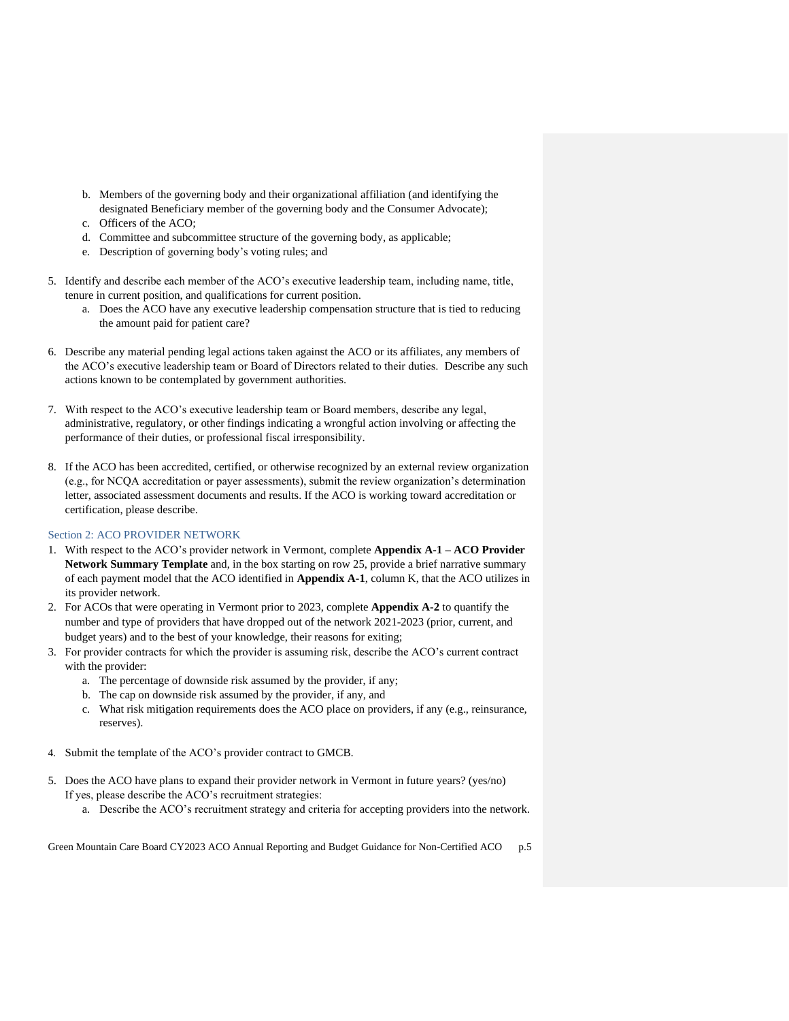- b. Members of the governing body and their organizational affiliation (and identifying the designated Beneficiary member of the governing body and the Consumer Advocate);
- c. Officers of the ACO;
- d. Committee and subcommittee structure of the governing body, as applicable;
- e. Description of governing body's voting rules; and
- 5. Identify and describe each member of the ACO's executive leadership team, including name, title, tenure in current position, and qualifications for current position.
	- a. Does the ACO have any executive leadership compensation structure that is tied to reducing the amount paid for patient care?
- 6. Describe any material pending legal actions taken against the ACO or its affiliates, any members of the ACO's executive leadership team or Board of Directors related to their duties. Describe any such actions known to be contemplated by government authorities.
- 7. With respect to the ACO's executive leadership team or Board members, describe any legal, administrative, regulatory, or other findings indicating a wrongful action involving or affecting the performance of their duties, or professional fiscal irresponsibility.
- 8. If the ACO has been accredited, certified, or otherwise recognized by an external review organization (e.g., for NCQA accreditation or payer assessments), submit the review organization's determination letter, associated assessment documents and results. If the ACO is working toward accreditation or certification, please describe.

## Section 2: ACO PROVIDER NETWORK

- 1. With respect to the ACO's provider network in Vermont, complete **Appendix A-1 – ACO Provider Network Summary Template** and, in the box starting on row 25, provide a brief narrative summary of each payment model that the ACO identified in **Appendix A-1**, column K, that the ACO utilizes in its provider network.
- 2. For ACOs that were operating in Vermont prior to 2023, complete **Appendix A-2** to quantify the number and type of providers that have dropped out of the network 2021-2023 (prior, current, and budget years) and to the best of your knowledge, their reasons for exiting;
- 3. For provider contracts for which the provider is assuming risk, describe the ACO's current contract with the provider:
	- a. The percentage of downside risk assumed by the provider, if any;
	- b. The cap on downside risk assumed by the provider, if any, and
	- c. What risk mitigation requirements does the ACO place on providers, if any (e.g., reinsurance, reserves).
- 4. Submit the template of the ACO's provider contract to GMCB.
- 5. Does the ACO have plans to expand their provider network in Vermont in future years? (yes/no) If yes, please describe the ACO's recruitment strategies:
	- a. Describe the ACO's recruitment strategy and criteria for accepting providers into the network.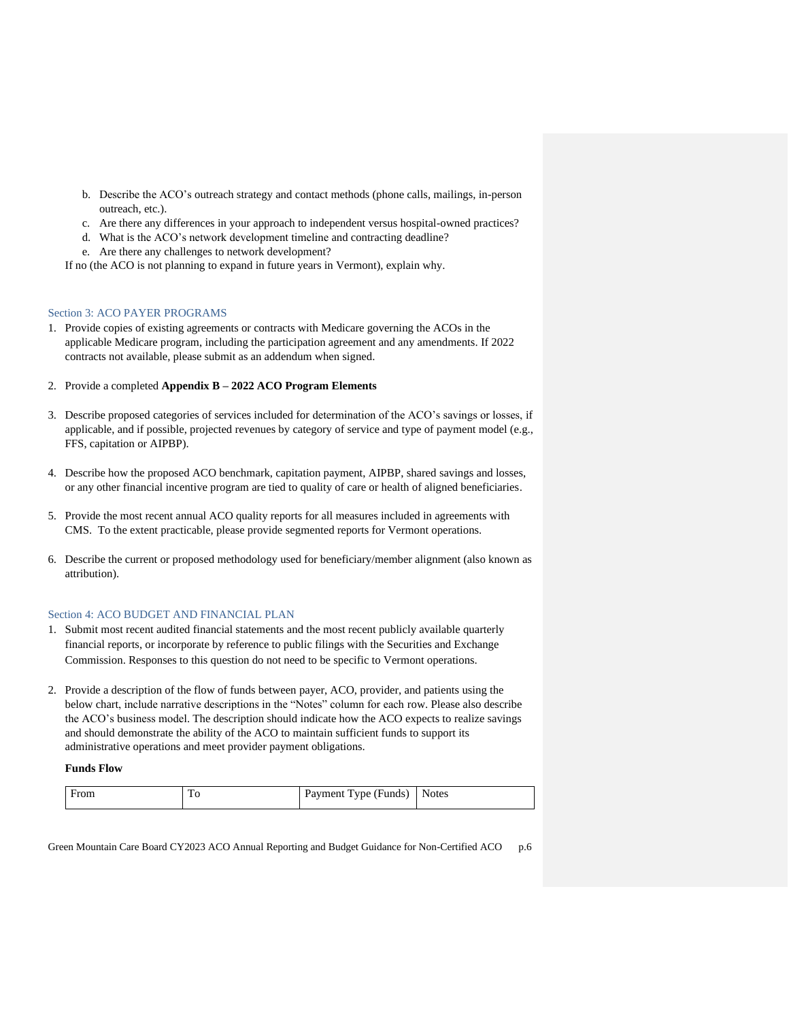- b. Describe the ACO's outreach strategy and contact methods (phone calls, mailings, in-person outreach, etc.).
- c. Are there any differences in your approach to independent versus hospital-owned practices?
- d. What is the ACO's network development timeline and contracting deadline?
- e. Are there any challenges to network development?

If no (the ACO is not planning to expand in future years in Vermont), explain why.

## Section 3: ACO PAYER PROGRAMS

- 1. Provide copies of existing agreements or contracts with Medicare governing the ACOs in the applicable Medicare program, including the participation agreement and any amendments. If 2022 contracts not available, please submit as an addendum when signed.
- 2. Provide a completed **Appendix B – 2022 ACO Program Elements**
- 3. Describe proposed categories of services included for determination of the ACO's savings or losses, if applicable, and if possible, projected revenues by category of service and type of payment model (e.g., FFS, capitation or AIPBP).
- 4. Describe how the proposed ACO benchmark, capitation payment, AIPBP, shared savings and losses, or any other financial incentive program are tied to quality of care or health of aligned beneficiaries.
- 5. Provide the most recent annual ACO quality reports for all measures included in agreements with CMS. To the extent practicable, please provide segmented reports for Vermont operations.
- 6. Describe the current or proposed methodology used for beneficiary/member alignment (also known as attribution).

## Section 4: ACO BUDGET AND FINANCIAL PLAN

- 1. Submit most recent audited financial statements and the most recent publicly available quarterly financial reports, or incorporate by reference to public filings with the Securities and Exchange Commission. Responses to this question do not need to be specific to Vermont operations.
- 2. Provide a description of the flow of funds between payer, ACO, provider, and patients using the below chart, include narrative descriptions in the "Notes" column for each row. Please also describe the ACO's business model. The description should indicate how the ACO expects to realize savings and should demonstrate the ability of the ACO to maintain sufficient funds to support its administrative operations and meet provider payment obligations.

#### **Funds Flow**

| From | 1 Ο<br>__ | vpe)<br>Payment.<br>(Hunds) | <b>Notes</b> |
|------|-----------|-----------------------------|--------------|
|------|-----------|-----------------------------|--------------|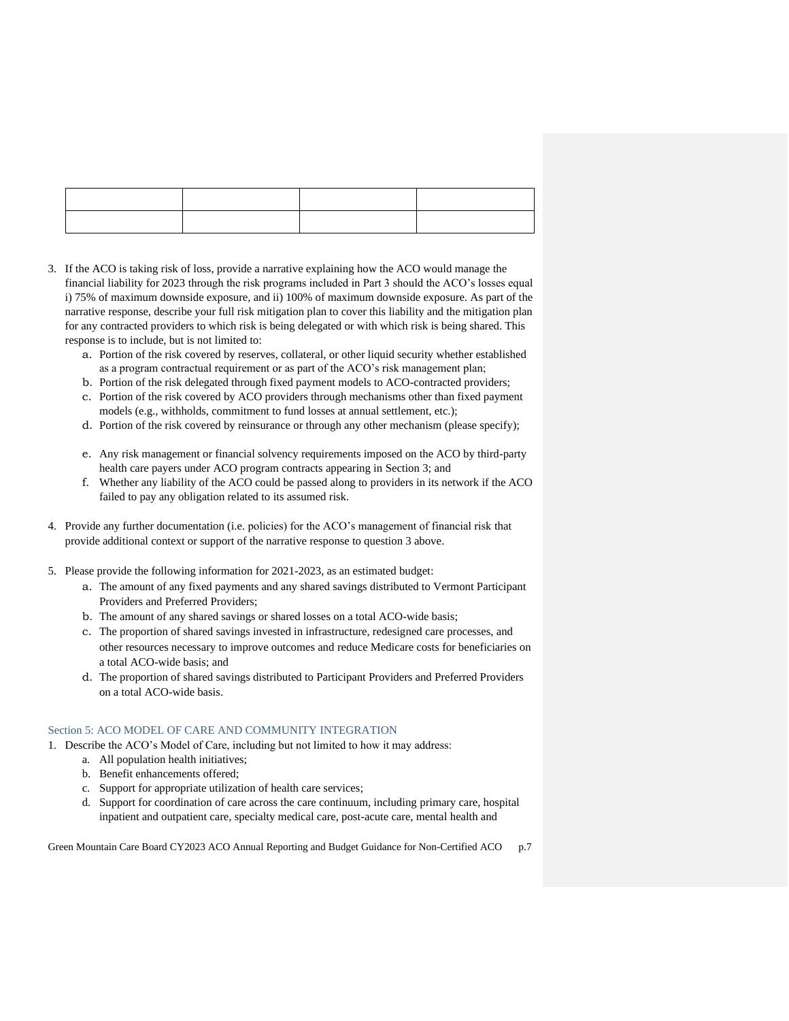- 3. If the ACO is taking risk of loss, provide a narrative explaining how the ACO would manage the financial liability for 2023 through the risk programs included in Part 3 should the ACO's losses equal i) 75% of maximum downside exposure, and ii) 100% of maximum downside exposure. As part of the narrative response, describe your full risk mitigation plan to cover this liability and the mitigation plan for any contracted providers to which risk is being delegated or with which risk is being shared. This response is to include, but is not limited to:
	- a. Portion of the risk covered by reserves, collateral, or other liquid security whether established as a program contractual requirement or as part of the ACO's risk management plan;
	- b. Portion of the risk delegated through fixed payment models to ACO-contracted providers;
	- c. Portion of the risk covered by ACO providers through mechanisms other than fixed payment models (e.g., withholds, commitment to fund losses at annual settlement, etc.);
	- d. Portion of the risk covered by reinsurance or through any other mechanism (please specify);
	- e. Any risk management or financial solvency requirements imposed on the ACO by third-party health care payers under ACO program contracts appearing in Section 3; and
	- f. Whether any liability of the ACO could be passed along to providers in its network if the ACO failed to pay any obligation related to its assumed risk.
- 4. Provide any further documentation (i.e. policies) for the ACO's management of financial risk that provide additional context or support of the narrative response to question 3 above.
- 5. Please provide the following information for 2021-2023, as an estimated budget:
	- a. The amount of any fixed payments and any shared savings distributed to Vermont Participant Providers and Preferred Providers;
	- b. The amount of any shared savings or shared losses on a total ACO-wide basis;
	- c. The proportion of shared savings invested in infrastructure, redesigned care processes, and other resources necessary to improve outcomes and reduce Medicare costs for beneficiaries on a total ACO-wide basis; and
	- d. The proportion of shared savings distributed to Participant Providers and Preferred Providers on a total ACO-wide basis.

## Section 5: ACO MODEL OF CARE AND COMMUNITY INTEGRATION

- 1. Describe the ACO's Model of Care, including but not limited to how it may address:
	- a. All population health initiatives;
	- b. Benefit enhancements offered;
	- c. Support for appropriate utilization of health care services;
	- d. Support for coordination of care across the care continuum, including primary care, hospital inpatient and outpatient care, specialty medical care, post-acute care, mental health and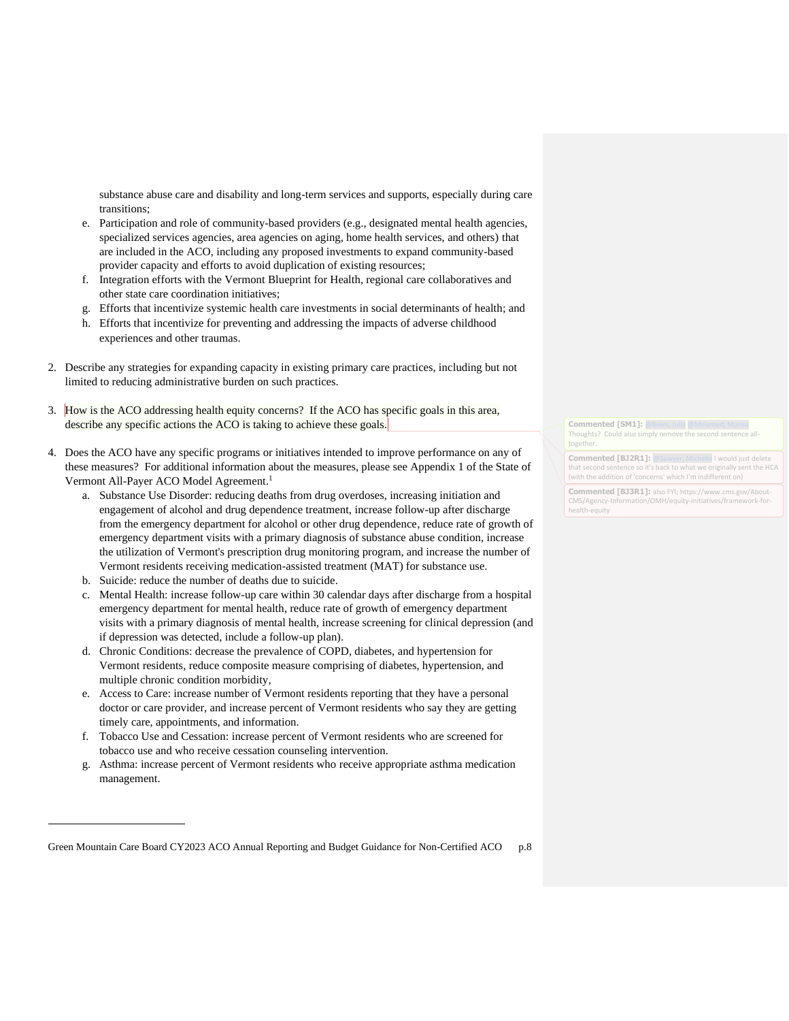substance abuse care and disability and long-term services and supports, especially during care transitions;

- e. Participation and role of community-based providers (e.g., designated mental health agencies, specialized services agencies, area agencies on aging, home health services, and others) that are included in the ACO, including any proposed investments to expand community-based provider capacity and efforts to avoid duplication of existing resources;
- f. Integration efforts with the Vermont Blueprint for Health, regional care collaboratives and other state care coordination initiatives;
- g. Efforts that incentivize systemic health care investments in social determinants of health; and
- h. Efforts that incentivize for preventing and addressing the impacts of adverse childhood experiences and other traumas.
- 2. Describe any strategies for expanding capacity in existing primary care practices, including but not limited to reducing administrative burden on such practices.
- 3. How is the ACO addressing health equity concerns? If the ACO has specific goals in this area, describe any specific actions the ACO is taking to achieve these goals.
- 4. Does the ACO have any specific programs or initiatives intended to improve performance on any of these measures? For additional information about the measures, please see Appendix 1 of the State of Vermont All-Payer ACO Model Agreement.<sup>1</sup>
	- a. Substance Use Disorder: reducing deaths from drug overdoses, increasing initiation and engagement of alcohol and drug dependence treatment, increase follow-up after discharge from the emergency department for alcohol or other drug dependence, reduce rate of growth of emergency department visits with a primary diagnosis of substance abuse condition, increase the utilization of Vermont's prescription drug monitoring program, and increase the number of Vermont residents receiving medication-assisted treatment (MAT) for substance use.
	- b. Suicide: reduce the number of deaths due to suicide.
	- c. Mental Health: increase follow-up care within 30 calendar days after discharge from a hospital emergency department for mental health, reduce rate of growth of emergency department visits with a primary diagnosis of mental health, increase screening for clinical depression (and if depression was detected, include a follow-up plan).
	- d. Chronic Conditions: decrease the prevalence of COPD, diabetes, and hypertension for Vermont residents, reduce composite measure comprising of diabetes, hypertension, and multiple chronic condition morbidity,
	- e. Access to Care: increase number of Vermont residents reporting that they have a personal doctor or care provider, and increase percent of Vermont residents who say they are getting timely care, appointments, and information.
	- f. Tobacco Use and Cessation: increase percent of Vermont residents who are screened for tobacco use and who receive cessation counseling intervention.
	- g. Asthma: increase percent of Vermont residents who receive appropriate asthma medication management.

Green Mountain Care Board CY2023 ACO Annual Reporting and Budget Guidance for Non-Certified ACO p.8

**Commented [SM1]: [@Boles, Julia](mailto:Julia.Boles@vermont.gov) @Me** Thoughts? Could also simply remove the second sentence alltogether

**Commented [BJ2R1]:** [@Sawyer, Michelle](mailto:Michelle.Sawyer@vermont.gov) I would just delete that second sentence so it's back to what we originally sent the HCA (with the addition of 'concerns' which I'm indifferent on)

**Commented [BJ3R1]:** also FYI: https://www.cms.gov/About-CMS/Agency-Information/OMH/equity-initiatives/framework-forhealth-equity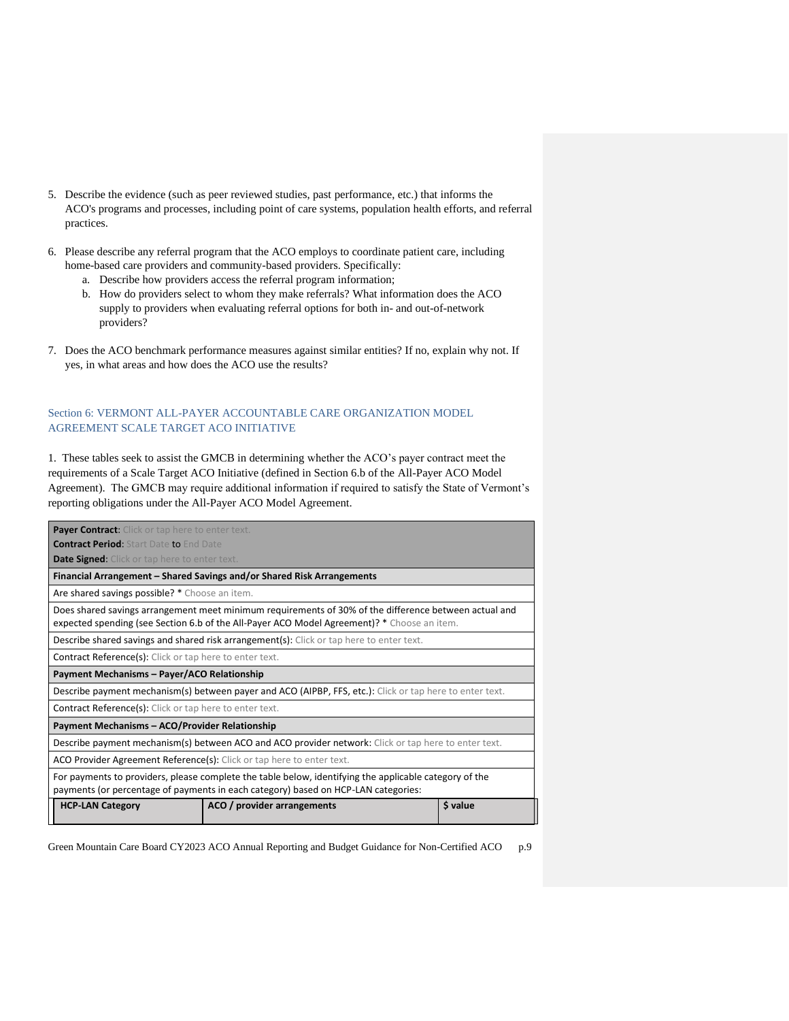- 5. Describe the evidence (such as peer reviewed studies, past performance, etc.) that informs the ACO's programs and processes, including point of care systems, population health efforts, and referral practices.
- 6. Please describe any referral program that the ACO employs to coordinate patient care, including home-based care providers and community-based providers. Specifically:
	- a. Describe how providers access the referral program information;
	- b. How do providers select to whom they make referrals? What information does the ACO supply to providers when evaluating referral options for both in- and out-of-network providers?
- 7. Does the ACO benchmark performance measures against similar entities? If no, explain why not. If yes, in what areas and how does the ACO use the results?

# Section 6: VERMONT ALL-PAYER ACCOUNTABLE CARE ORGANIZATION MODEL AGREEMENT SCALE TARGET ACO INITIATIVE

1. These tables seek to assist the GMCB in determining whether the ACO's payer contract meet the requirements of a Scale Target ACO Initiative (defined in Section 6.b of the All-Payer ACO Model Agreement). The GMCB may require additional information if required to satisfy the State of Vermont's reporting obligations under the All-Payer ACO Model Agreement.

| <b>Payer Contract:</b> Click or tap here to enter text.                                                                                                                                              |                                                                        |          |  |
|------------------------------------------------------------------------------------------------------------------------------------------------------------------------------------------------------|------------------------------------------------------------------------|----------|--|
| <b>Contract Period: Start Date to End Date</b>                                                                                                                                                       |                                                                        |          |  |
| <b>Date Signed:</b> Click or tap here to enter text.                                                                                                                                                 |                                                                        |          |  |
|                                                                                                                                                                                                      | Financial Arrangement – Shared Savings and/or Shared Risk Arrangements |          |  |
| Are shared savings possible? * Choose an item.                                                                                                                                                       |                                                                        |          |  |
| Does shared savings arrangement meet minimum requirements of 30% of the difference between actual and<br>expected spending (see Section 6.b of the All-Payer ACO Model Agreement)? * Choose an item. |                                                                        |          |  |
| Describe shared savings and shared risk arrangement(s): Click or tap here to enter text.                                                                                                             |                                                                        |          |  |
| <b>Contract Reference(s):</b> Click or tap here to enter text.                                                                                                                                       |                                                                        |          |  |
| Payment Mechanisms - Payer/ACO Relationship                                                                                                                                                          |                                                                        |          |  |
| Describe payment mechanism(s) between payer and ACO (AIPBP, FFS, etc.): Click or tap here to enter text.                                                                                             |                                                                        |          |  |
| <b>Contract Reference(s):</b> Click or tap here to enter text.                                                                                                                                       |                                                                        |          |  |
| Payment Mechanisms - ACO/Provider Relationship                                                                                                                                                       |                                                                        |          |  |
| Describe payment mechanism(s) between ACO and ACO provider network: Click or tap here to enter text.                                                                                                 |                                                                        |          |  |
| ACO Provider Agreement Reference(s): Click or tap here to enter text.                                                                                                                                |                                                                        |          |  |
| For payments to providers, please complete the table below, identifying the applicable category of the<br>payments (or percentage of payments in each category) based on HCP-LAN categories:         |                                                                        |          |  |
| <b>HCP-LAN Category</b>                                                                                                                                                                              | ACO / provider arrangements                                            | \$ value |  |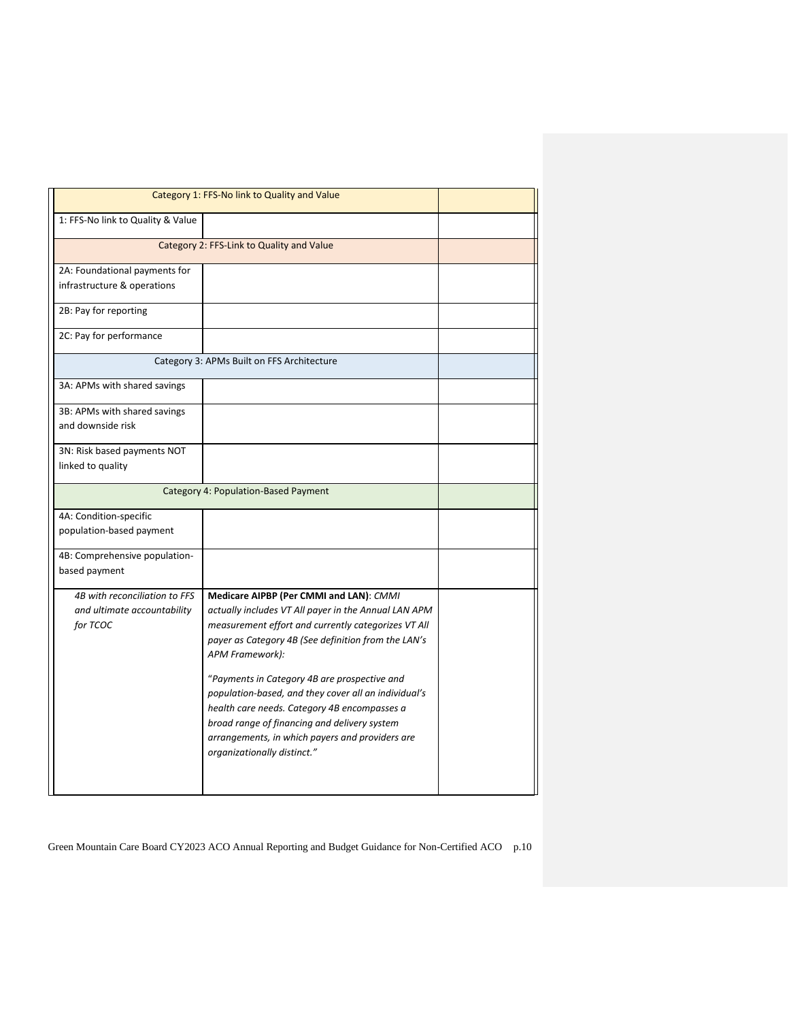|                                                                          | Category 1: FFS-No link to Quality and Value                                                                                                                                                                                                                                                                                                                                                                                                                                                                               |  |
|--------------------------------------------------------------------------|----------------------------------------------------------------------------------------------------------------------------------------------------------------------------------------------------------------------------------------------------------------------------------------------------------------------------------------------------------------------------------------------------------------------------------------------------------------------------------------------------------------------------|--|
| 1: FFS-No link to Quality & Value                                        |                                                                                                                                                                                                                                                                                                                                                                                                                                                                                                                            |  |
| Category 2: FFS-Link to Quality and Value                                |                                                                                                                                                                                                                                                                                                                                                                                                                                                                                                                            |  |
| 2A: Foundational payments for<br>infrastructure & operations             |                                                                                                                                                                                                                                                                                                                                                                                                                                                                                                                            |  |
| 2B: Pay for reporting                                                    |                                                                                                                                                                                                                                                                                                                                                                                                                                                                                                                            |  |
| 2C: Pay for performance                                                  |                                                                                                                                                                                                                                                                                                                                                                                                                                                                                                                            |  |
|                                                                          | Category 3: APMs Built on FFS Architecture                                                                                                                                                                                                                                                                                                                                                                                                                                                                                 |  |
| 3A: APMs with shared savings                                             |                                                                                                                                                                                                                                                                                                                                                                                                                                                                                                                            |  |
| 3B: APMs with shared savings<br>and downside risk                        |                                                                                                                                                                                                                                                                                                                                                                                                                                                                                                                            |  |
| 3N: Risk based payments NOT<br>linked to quality                         |                                                                                                                                                                                                                                                                                                                                                                                                                                                                                                                            |  |
|                                                                          | Category 4: Population-Based Payment                                                                                                                                                                                                                                                                                                                                                                                                                                                                                       |  |
| 4A: Condition-specific<br>population-based payment                       |                                                                                                                                                                                                                                                                                                                                                                                                                                                                                                                            |  |
| 4B: Comprehensive population-<br>based payment                           |                                                                                                                                                                                                                                                                                                                                                                                                                                                                                                                            |  |
| 4B with reconciliation to FFS<br>and ultimate accountability<br>for TCOC | Medicare AIPBP (Per CMMI and LAN): CMMI<br>actually includes VT All payer in the Annual LAN APM<br>measurement effort and currently categorizes VT All<br>payer as Category 4B (See definition from the LAN's<br>APM Framework):<br>"Payments in Category 4B are prospective and<br>population-based, and they cover all an individual's<br>health care needs. Category 4B encompasses a<br>broad range of financing and delivery system<br>arrangements, in which payers and providers are<br>organizationally distinct." |  |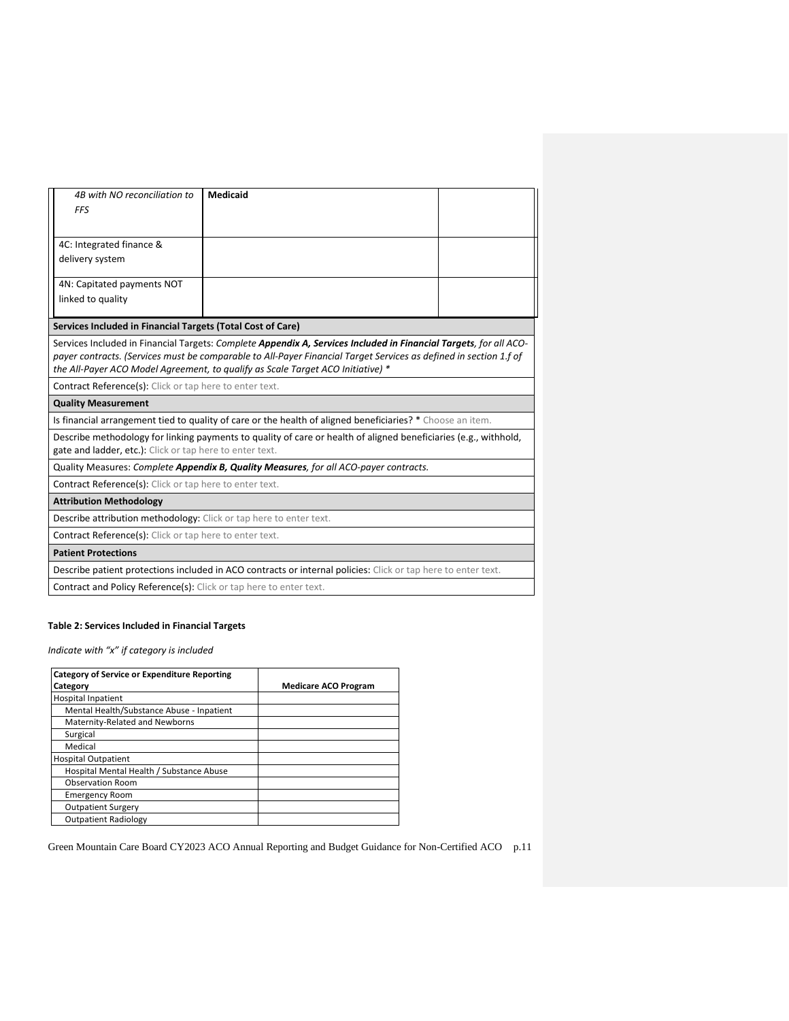| 4B with NO reconciliation to                                                                                     | Medicaid                                                                                                          |  |  |
|------------------------------------------------------------------------------------------------------------------|-------------------------------------------------------------------------------------------------------------------|--|--|
| <b>FFS</b>                                                                                                       |                                                                                                                   |  |  |
|                                                                                                                  |                                                                                                                   |  |  |
| 4C: Integrated finance &                                                                                         |                                                                                                                   |  |  |
| delivery system                                                                                                  |                                                                                                                   |  |  |
|                                                                                                                  |                                                                                                                   |  |  |
| 4N: Capitated payments NOT                                                                                       |                                                                                                                   |  |  |
| linked to quality                                                                                                |                                                                                                                   |  |  |
|                                                                                                                  |                                                                                                                   |  |  |
| Services Included in Financial Targets (Total Cost of Care)                                                      |                                                                                                                   |  |  |
|                                                                                                                  | Services Included in Financial Targets: Complete Appendix A, Services Included in Financial Targets, for all ACO- |  |  |
|                                                                                                                  | payer contracts. (Services must be comparable to All-Payer Financial Target Services as defined in section 1.f of |  |  |
|                                                                                                                  | the All-Payer ACO Model Agreement, to qualify as Scale Target ACO Initiative) *                                   |  |  |
| Contract Reference(s): Click or tap here to enter text.                                                          |                                                                                                                   |  |  |
| <b>Quality Measurement</b>                                                                                       |                                                                                                                   |  |  |
|                                                                                                                  | Is financial arrangement tied to quality of care or the health of aligned beneficiaries? * Choose an item.        |  |  |
| Describe methodology for linking payments to quality of care or health of aligned beneficiaries (e.g., withhold, |                                                                                                                   |  |  |
| gate and ladder, etc.): Click or tap here to enter text.                                                         |                                                                                                                   |  |  |
|                                                                                                                  | Quality Measures: Complete Appendix B, Quality Measures, for all ACO-payer contracts.                             |  |  |
| <b>Contract Reference(s):</b> Click or tap here to enter text.                                                   |                                                                                                                   |  |  |
| <b>Attribution Methodology</b>                                                                                   |                                                                                                                   |  |  |
| Describe attribution methodology: Click or tap here to enter text.                                               |                                                                                                                   |  |  |
| <b>Contract Reference(s):</b> Click or tap here to enter text.                                                   |                                                                                                                   |  |  |
| <b>Patient Protections</b>                                                                                       |                                                                                                                   |  |  |
|                                                                                                                  | Describe patient protections included in ACO contracts or internal policies: Click or tap here to enter text.     |  |  |
| Contract and Policy Reference(s): Click or tap here to enter text.                                               |                                                                                                                   |  |  |

## **Table 2: Services Included in Financial Targets**

*Indicate with "x" if category is included*

| <b>Category of Service or Expenditure Reporting</b> |                             |
|-----------------------------------------------------|-----------------------------|
| Category                                            | <b>Medicare ACO Program</b> |
| <b>Hospital Inpatient</b>                           |                             |
| Mental Health/Substance Abuse - Inpatient           |                             |
| Maternity-Related and Newborns                      |                             |
| Surgical                                            |                             |
| Medical                                             |                             |
| <b>Hospital Outpatient</b>                          |                             |
| Hospital Mental Health / Substance Abuse            |                             |
| <b>Observation Room</b>                             |                             |
| <b>Emergency Room</b>                               |                             |
| <b>Outpatient Surgery</b>                           |                             |
| <b>Outpatient Radiology</b>                         |                             |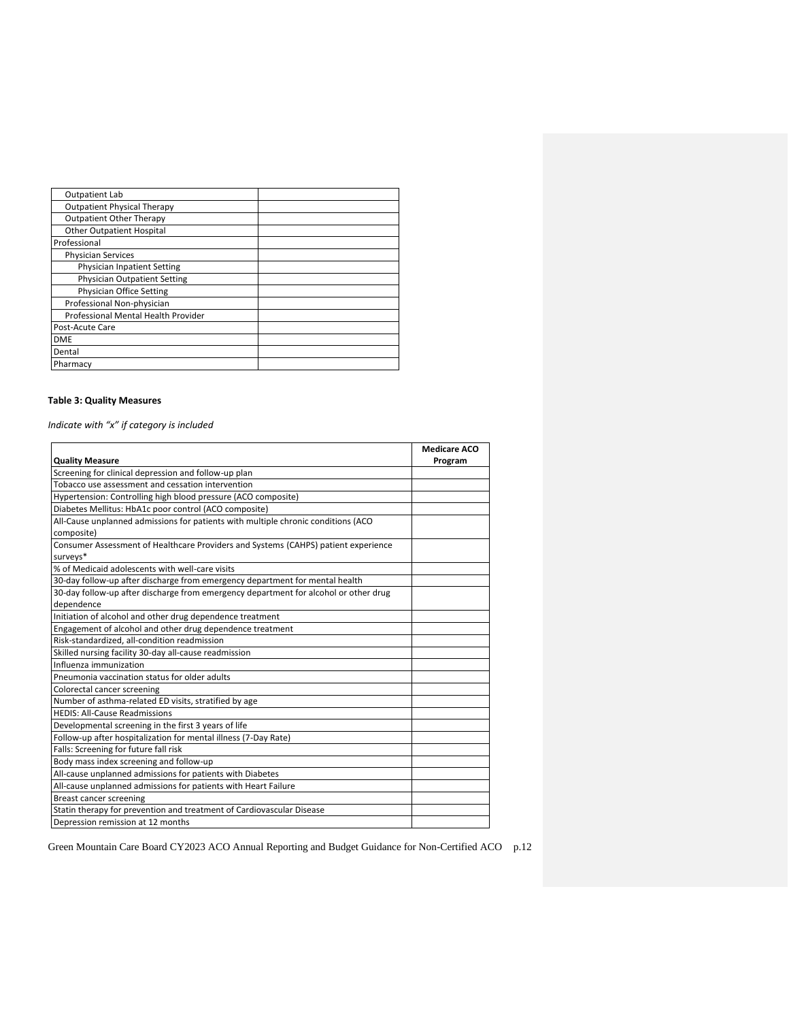| <b>Outpatient Lab</b>               |  |
|-------------------------------------|--|
|                                     |  |
| <b>Outpatient Physical Therapy</b>  |  |
| <b>Outpatient Other Therapy</b>     |  |
| <b>Other Outpatient Hospital</b>    |  |
| Professional                        |  |
| <b>Physician Services</b>           |  |
| <b>Physician Inpatient Setting</b>  |  |
| <b>Physician Outpatient Setting</b> |  |
| Physician Office Setting            |  |
| Professional Non-physician          |  |
| Professional Mental Health Provider |  |
| Post-Acute Care                     |  |
| <b>DME</b>                          |  |
| Dental                              |  |
| Pharmacy                            |  |

## **Table 3: Quality Measures**

*Indicate with "x" if category is included*

|                                                                                      | <b>Medicare ACO</b> |
|--------------------------------------------------------------------------------------|---------------------|
| <b>Quality Measure</b>                                                               | Program             |
| Screening for clinical depression and follow-up plan                                 |                     |
| Tobacco use assessment and cessation intervention                                    |                     |
| Hypertension: Controlling high blood pressure (ACO composite)                        |                     |
| Diabetes Mellitus: HbA1c poor control (ACO composite)                                |                     |
| All-Cause unplanned admissions for patients with multiple chronic conditions (ACO    |                     |
| composite)                                                                           |                     |
| Consumer Assessment of Healthcare Providers and Systems (CAHPS) patient experience   |                     |
| surveys*                                                                             |                     |
| % of Medicaid adolescents with well-care visits                                      |                     |
| 30-day follow-up after discharge from emergency department for mental health         |                     |
| 30-day follow-up after discharge from emergency department for alcohol or other drug |                     |
| dependence                                                                           |                     |
| Initiation of alcohol and other drug dependence treatment                            |                     |
| Engagement of alcohol and other drug dependence treatment                            |                     |
| Risk-standardized, all-condition readmission                                         |                     |
| Skilled nursing facility 30-day all-cause readmission                                |                     |
| Influenza immunization                                                               |                     |
| Pneumonia vaccination status for older adults                                        |                     |
| Colorectal cancer screening                                                          |                     |
| Number of asthma-related ED visits, stratified by age                                |                     |
| <b>HEDIS: All-Cause Readmissions</b>                                                 |                     |
| Developmental screening in the first 3 years of life                                 |                     |
| Follow-up after hospitalization for mental illness (7-Day Rate)                      |                     |
| Falls: Screening for future fall risk                                                |                     |
| Body mass index screening and follow-up                                              |                     |
| All-cause unplanned admissions for patients with Diabetes                            |                     |
| All-cause unplanned admissions for patients with Heart Failure                       |                     |
| Breast cancer screening                                                              |                     |
| Statin therapy for prevention and treatment of Cardiovascular Disease                |                     |
| Depression remission at 12 months                                                    |                     |